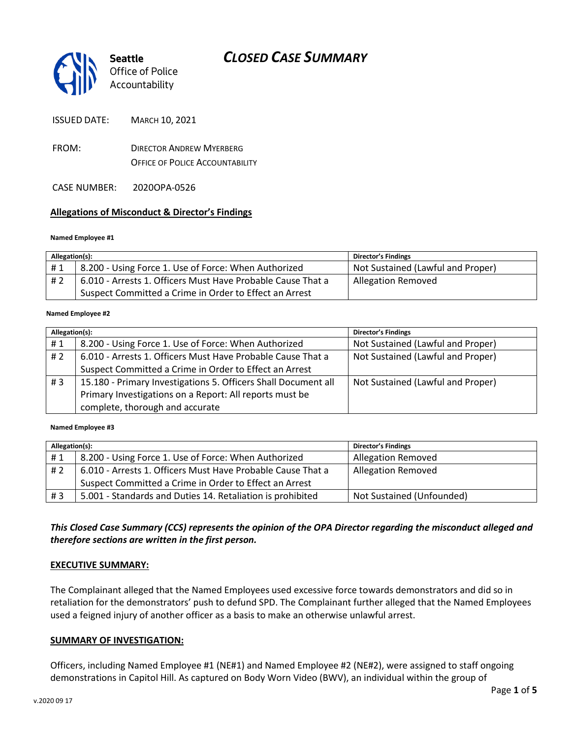# *CLOSED CASE SUMMARY*



ISSUED DATE: MARCH 10, 2021

FROM: DIRECTOR ANDREW MYERBERG OFFICE OF POLICE ACCOUNTABILITY

CASE NUMBER: 2020OPA-0526

### **Allegations of Misconduct & Director's Findings**

#### **Named Employee #1**

| Allegation(s): |                                                             | <b>Director's Findings</b>        |
|----------------|-------------------------------------------------------------|-----------------------------------|
| #1             | 8.200 - Using Force 1. Use of Force: When Authorized        | Not Sustained (Lawful and Proper) |
| #2             | 6.010 - Arrests 1. Officers Must Have Probable Cause That a | <b>Allegation Removed</b>         |
|                | Suspect Committed a Crime in Order to Effect an Arrest      |                                   |

#### Ι **Named Employee #2**

| Allegation(s): |                                                                | <b>Director's Findings</b>        |
|----------------|----------------------------------------------------------------|-----------------------------------|
| #1             | 8.200 - Using Force 1. Use of Force: When Authorized           | Not Sustained (Lawful and Proper) |
| #2             | 6.010 - Arrests 1. Officers Must Have Probable Cause That a    | Not Sustained (Lawful and Proper) |
|                | Suspect Committed a Crime in Order to Effect an Arrest         |                                   |
| #3             | 15.180 - Primary Investigations 5. Officers Shall Document all | Not Sustained (Lawful and Proper) |
|                | Primary Investigations on a Report: All reports must be        |                                   |
|                | complete, thorough and accurate                                |                                   |

**Named Employee #3**

| Allegation(s): |                                                             | <b>Director's Findings</b> |
|----------------|-------------------------------------------------------------|----------------------------|
| #1             | 8.200 - Using Force 1. Use of Force: When Authorized        | <b>Allegation Removed</b>  |
| #2             | 6.010 - Arrests 1. Officers Must Have Probable Cause That a | <b>Allegation Removed</b>  |
|                | Suspect Committed a Crime in Order to Effect an Arrest      |                            |
| # $3$          | 5.001 - Standards and Duties 14. Retaliation is prohibited  | Not Sustained (Unfounded)  |

*This Closed Case Summary (CCS) represents the opinion of the OPA Director regarding the misconduct alleged and therefore sections are written in the first person.* 

### **EXECUTIVE SUMMARY:**

The Complainant alleged that the Named Employees used excessive force towards demonstrators and did so in retaliation for the demonstrators' push to defund SPD. The Complainant further alleged that the Named Employees used a feigned injury of another officer as a basis to make an otherwise unlawful arrest.

### **SUMMARY OF INVESTIGATION:**

Officers, including Named Employee #1 (NE#1) and Named Employee #2 (NE#2), were assigned to staff ongoing demonstrations in Capitol Hill. As captured on Body Worn Video (BWV), an individual within the group of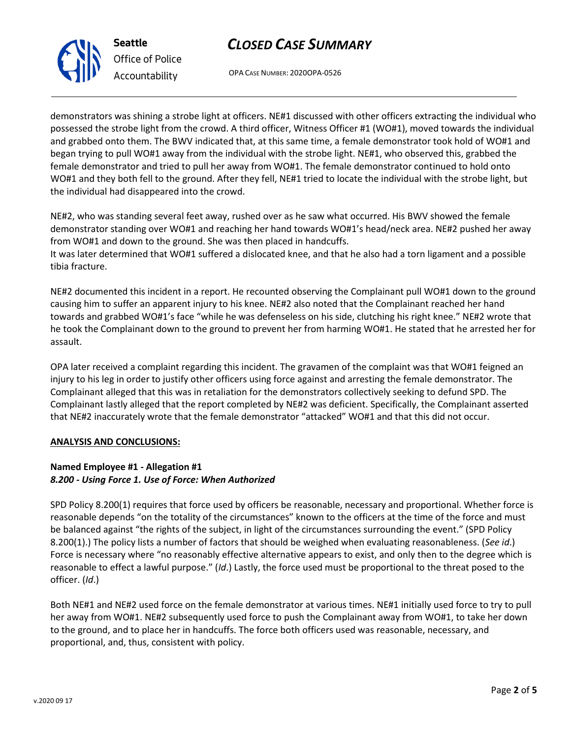v.2020 09 17

# *CLOSED CASE SUMMARY*

OPA CASE NUMBER: 2020OPA-0526

demonstrators was shining a strobe light at officers. NE#1 discussed with other officers extracting the individual who possessed the strobe light from the crowd. A third officer, Witness Officer #1 (WO#1), moved towards the individual and grabbed onto them. The BWV indicated that, at this same time, a female demonstrator took hold of WO#1 and began trying to pull WO#1 away from the individual with the strobe light. NE#1, who observed this, grabbed the female demonstrator and tried to pull her away from WO#1. The female demonstrator continued to hold onto WO#1 and they both fell to the ground. After they fell, NE#1 tried to locate the individual with the strobe light, but the individual had disappeared into the crowd.

NE#2, who was standing several feet away, rushed over as he saw what occurred. His BWV showed the female demonstrator standing over WO#1 and reaching her hand towards WO#1's head/neck area. NE#2 pushed her away from WO#1 and down to the ground. She was then placed in handcuffs.

It was later determined that WO#1 suffered a dislocated knee, and that he also had a torn ligament and a possible tibia fracture.

NE#2 documented this incident in a report. He recounted observing the Complainant pull WO#1 down to the ground causing him to suffer an apparent injury to his knee. NE#2 also noted that the Complainant reached her hand towards and grabbed WO#1's face "while he was defenseless on his side, clutching his right knee." NE#2 wrote that he took the Complainant down to the ground to prevent her from harming WO#1. He stated that he arrested her for assault.

OPA later received a complaint regarding this incident. The gravamen of the complaint was that WO#1 feigned an injury to his leg in order to justify other officers using force against and arresting the female demonstrator. The Complainant alleged that this was in retaliation for the demonstrators collectively seeking to defund SPD. The Complainant lastly alleged that the report completed by NE#2 was deficient. Specifically, the Complainant asserted that NE#2 inaccurately wrote that the female demonstrator "attacked" WO#1 and that this did not occur.

# **ANALYSIS AND CONCLUSIONS:**

# **Named Employee #1 - Allegation #1** *8.200 - Using Force 1. Use of Force: When Authorized*

SPD Policy 8.200(1) requires that force used by officers be reasonable, necessary and proportional. Whether force is reasonable depends "on the totality of the circumstances" known to the officers at the time of the force and must be balanced against "the rights of the subject, in light of the circumstances surrounding the event." (SPD Policy 8.200(1).) The policy lists a number of factors that should be weighed when evaluating reasonableness. (*See id*.) Force is necessary where "no reasonably effective alternative appears to exist, and only then to the degree which is reasonable to effect a lawful purpose." (*Id*.) Lastly, the force used must be proportional to the threat posed to the officer. (*Id*.)

Both NE#1 and NE#2 used force on the female demonstrator at various times. NE#1 initially used force to try to pull her away from WO#1. NE#2 subsequently used force to push the Complainant away from WO#1, to take her down to the ground, and to place her in handcuffs. The force both officers used was reasonable, necessary, and proportional, and, thus, consistent with policy.



**Seattle**

*Office of Police Accountability*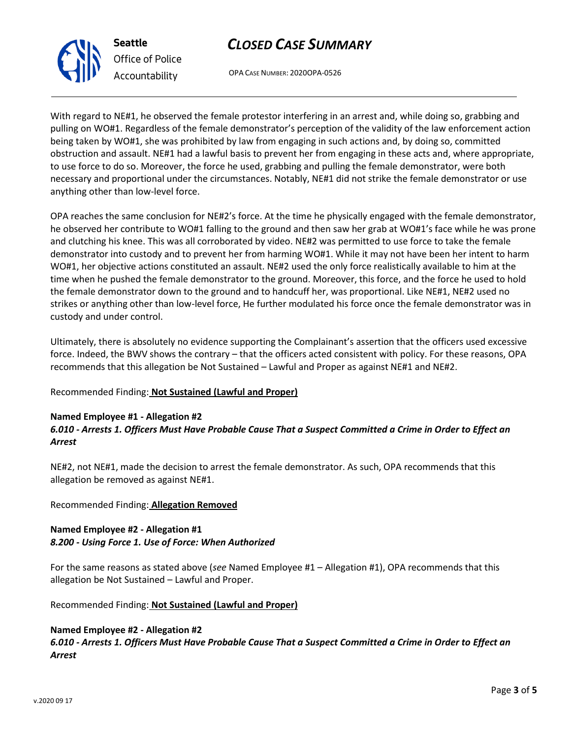# *CLOSED CASE SUMMARY*

OPA CASE NUMBER: 2020OPA-0526

With regard to NE#1, he observed the female protestor interfering in an arrest and, while doing so, grabbing and pulling on WO#1. Regardless of the female demonstrator's perception of the validity of the law enforcement action being taken by WO#1, she was prohibited by law from engaging in such actions and, by doing so, committed obstruction and assault. NE#1 had a lawful basis to prevent her from engaging in these acts and, where appropriate, to use force to do so. Moreover, the force he used, grabbing and pulling the female demonstrator, were both necessary and proportional under the circumstances. Notably, NE#1 did not strike the female demonstrator or use anything other than low-level force.

OPA reaches the same conclusion for NE#2's force. At the time he physically engaged with the female demonstrator, he observed her contribute to WO#1 falling to the ground and then saw her grab at WO#1's face while he was prone and clutching his knee. This was all corroborated by video. NE#2 was permitted to use force to take the female demonstrator into custody and to prevent her from harming WO#1. While it may not have been her intent to harm WO#1, her objective actions constituted an assault. NE#2 used the only force realistically available to him at the time when he pushed the female demonstrator to the ground. Moreover, this force, and the force he used to hold the female demonstrator down to the ground and to handcuff her, was proportional. Like NE#1, NE#2 used no strikes or anything other than low-level force, He further modulated his force once the female demonstrator was in custody and under control.

Ultimately, there is absolutely no evidence supporting the Complainant's assertion that the officers used excessive force. Indeed, the BWV shows the contrary – that the officers acted consistent with policy. For these reasons, OPA recommends that this allegation be Not Sustained – Lawful and Proper as against NE#1 and NE#2.

Recommended Finding: **Not Sustained (Lawful and Proper)**

### **Named Employee #1 - Allegation #2** *6.010 - Arrests 1. Officers Must Have Probable Cause That a Suspect Committed a Crime in Order to Effect an Arrest*

NE#2, not NE#1, made the decision to arrest the female demonstrator. As such, OPA recommends that this allegation be removed as against NE#1.

Recommended Finding: **Allegation Removed**

# **Named Employee #2 - Allegation #1** *8.200 - Using Force 1. Use of Force: When Authorized*

For the same reasons as stated above (*see* Named Employee #1 – Allegation #1), OPA recommends that this allegation be Not Sustained – Lawful and Proper.

Recommended Finding: **Not Sustained (Lawful and Proper)**

# **Named Employee #2 - Allegation #2**

*6.010 - Arrests 1. Officers Must Have Probable Cause That a Suspect Committed a Crime in Order to Effect an Arrest*



**Seattle** *Office of Police Accountability*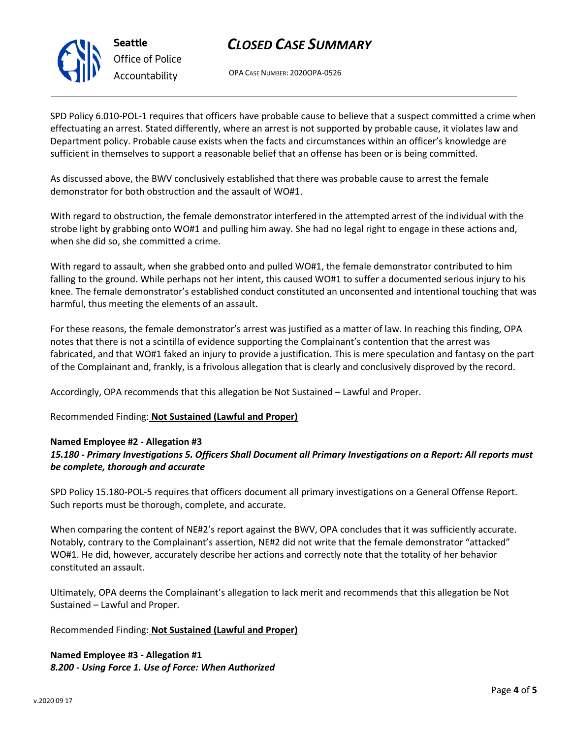

# *CLOSED CASE SUMMARY*

OPA CASE NUMBER: 2020OPA-0526

SPD Policy 6.010-POL-1 requires that officers have probable cause to believe that a suspect committed a crime when effectuating an arrest. Stated differently, where an arrest is not supported by probable cause, it violates law and Department policy. Probable cause exists when the facts and circumstances within an officer's knowledge are sufficient in themselves to support a reasonable belief that an offense has been or is being committed.

As discussed above, the BWV conclusively established that there was probable cause to arrest the female demonstrator for both obstruction and the assault of WO#1.

With regard to obstruction, the female demonstrator interfered in the attempted arrest of the individual with the strobe light by grabbing onto WO#1 and pulling him away. She had no legal right to engage in these actions and, when she did so, she committed a crime.

With regard to assault, when she grabbed onto and pulled WO#1, the female demonstrator contributed to him falling to the ground. While perhaps not her intent, this caused WO#1 to suffer a documented serious injury to his knee. The female demonstrator's established conduct constituted an unconsented and intentional touching that was harmful, thus meeting the elements of an assault.

For these reasons, the female demonstrator's arrest was justified as a matter of law. In reaching this finding, OPA notes that there is not a scintilla of evidence supporting the Complainant's contention that the arrest was fabricated, and that WO#1 faked an injury to provide a justification. This is mere speculation and fantasy on the part of the Complainant and, frankly, is a frivolous allegation that is clearly and conclusively disproved by the record.

Accordingly, OPA recommends that this allegation be Not Sustained – Lawful and Proper.

### Recommended Finding: **Not Sustained (Lawful and Proper)**

### **Named Employee #2 - Allegation #3**

# *15.180 - Primary Investigations 5. Officers Shall Document all Primary Investigations on a Report: All reports must be complete, thorough and accurate*

SPD Policy 15.180-POL-5 requires that officers document all primary investigations on a General Offense Report. Such reports must be thorough, complete, and accurate.

When comparing the content of NE#2's report against the BWV, OPA concludes that it was sufficiently accurate. Notably, contrary to the Complainant's assertion, NE#2 did not write that the female demonstrator "attacked" WO#1. He did, however, accurately describe her actions and correctly note that the totality of her behavior constituted an assault.

Ultimately, OPA deems the Complainant's allegation to lack merit and recommends that this allegation be Not Sustained – Lawful and Proper.

### Recommended Finding: **Not Sustained (Lawful and Proper)**

### **Named Employee #3 - Allegation #1** *8.200 - Using Force 1. Use of Force: When Authorized*